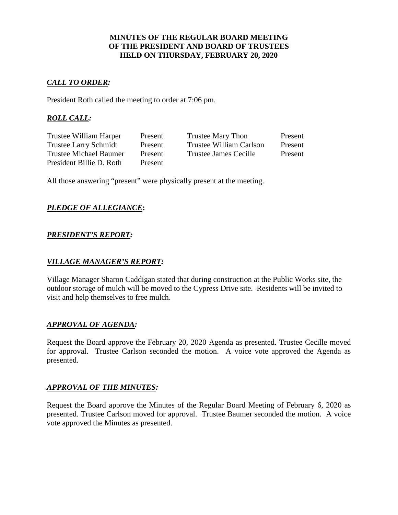### **MINUTES OF THE REGULAR BOARD MEETING OF THE PRESIDENT AND BOARD OF TRUSTEES HELD ON THURSDAY, FEBRUARY 20, 2020**

## *CALL TO ORDER:*

President Roth called the meeting to order at 7:06 pm.

## *ROLL CALL:*

| Present | Trustee Mary Thon       | Present |
|---------|-------------------------|---------|
| Present | Trustee William Carlson | Present |
| Present | Trustee James Cecille   | Present |
| Present |                         |         |
|         |                         |         |

All those answering "present" were physically present at the meeting.

## *PLEDGE OF ALLEGIANCE***:**

## *PRESIDENT'S REPORT:*

### *VILLAGE MANAGER'S REPORT:*

Village Manager Sharon Caddigan stated that during construction at the Public Works site, the outdoor storage of mulch will be moved to the Cypress Drive site. Residents will be invited to visit and help themselves to free mulch.

## *APPROVAL OF AGENDA:*

Request the Board approve the February 20, 2020 Agenda as presented. Trustee Cecille moved for approval. Trustee Carlson seconded the motion. A voice vote approved the Agenda as presented.

#### *APPROVAL OF THE MINUTES:*

Request the Board approve the Minutes of the Regular Board Meeting of February 6, 2020 as presented. Trustee Carlson moved for approval. Trustee Baumer seconded the motion. A voice vote approved the Minutes as presented.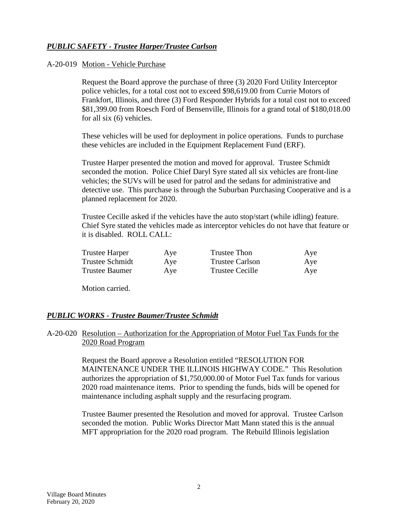# *PUBLIC SAFETY - Trustee Harper/Trustee Carlson*

### A-20-019 Motion - Vehicle Purchase

Request the Board approve the purchase of three (3) 2020 Ford Utility Interceptor police vehicles, for a total cost not to exceed \$98,619.00 from Currie Motors of Frankfort, Illinois, and three (3) Ford Responder Hybrids for a total cost not to exceed \$81,399.00 from Roesch Ford of Bensenville, Illinois for a grand total of \$180,018.00 for all six (6) vehicles.

These vehicles will be used for deployment in police operations. Funds to purchase these vehicles are included in the Equipment Replacement Fund (ERF).

Trustee Harper presented the motion and moved for approval. Trustee Schmidt seconded the motion. Police Chief Daryl Syre stated all six vehicles are front-line vehicles; the SUVs will be used for patrol and the sedans for administrative and detective use. This purchase is through the Suburban Purchasing Cooperative and is a planned replacement for 2020.

Trustee Cecille asked if the vehicles have the auto stop/start (while idling) feature. Chief Syre stated the vehicles made as interceptor vehicles do not have that feature or it is disabled. ROLL CALL:

| <b>Trustee Harper</b> | Aye | Trustee Thon    | Aye |
|-----------------------|-----|-----------------|-----|
| Trustee Schmidt       | Aye | Trustee Carlson | Aye |
| <b>Trustee Baumer</b> | Aye | Trustee Cecille | Aye |

Motion carried.

#### *PUBLIC WORKS - Trustee Baumer/Trustee Schmidt*

#### A-20-020 Resolution – Authorization for the Appropriation of Motor Fuel Tax Funds for the 2020 Road Program

Request the Board approve a Resolution entitled "RESOLUTION FOR MAINTENANCE UNDER THE ILLINOIS HIGHWAY CODE." This Resolution authorizes the appropriation of \$1,750,000.00 of Motor Fuel Tax funds for various 2020 road maintenance items. Prior to spending the funds, bids will be opened for maintenance including asphalt supply and the resurfacing program.

Trustee Baumer presented the Resolution and moved for approval. Trustee Carlson seconded the motion. Public Works Director Matt Mann stated this is the annual MFT appropriation for the 2020 road program. The Rebuild Illinois legislation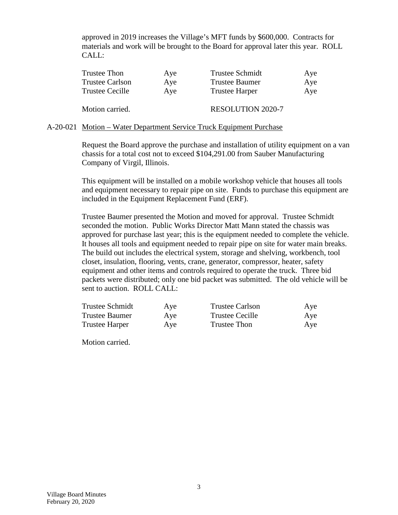approved in 2019 increases the Village's MFT funds by \$600,000. Contracts for materials and work will be brought to the Board for approval later this year. ROLL CALL:

| Trustee Thon           | Aye | <b>Trustee Schmidt</b>   | Aye |
|------------------------|-----|--------------------------|-----|
| <b>Trustee Carlson</b> | Aye | <b>Trustee Baumer</b>    | Aye |
| <b>Trustee Cecille</b> | Aye | <b>Trustee Harper</b>    | Aye |
| Motion carried.        |     | <b>RESOLUTION 2020-7</b> |     |
|                        |     |                          |     |

#### A-20-021 Motion – Water Department Service Truck Equipment Purchase

Request the Board approve the purchase and installation of utility equipment on a van chassis for a total cost not to exceed \$104,291.00 from Sauber Manufacturing Company of Virgil, Illinois.

This equipment will be installed on a mobile workshop vehicle that houses all tools and equipment necessary to repair pipe on site. Funds to purchase this equipment are included in the Equipment Replacement Fund (ERF).

Trustee Baumer presented the Motion and moved for approval. Trustee Schmidt seconded the motion. Public Works Director Matt Mann stated the chassis was approved for purchase last year; this is the equipment needed to complete the vehicle. It houses all tools and equipment needed to repair pipe on site for water main breaks. The build out includes the electrical system, storage and shelving, workbench, tool closet, insulation, flooring, vents, crane, generator, compressor, heater, safety equipment and other items and controls required to operate the truck. Three bid packets were distributed; only one bid packet was submitted. The old vehicle will be sent to auction. ROLL CALL:

| <b>Trustee Schmidt</b> | Aye | <b>Trustee Carlson</b> | Aye |
|------------------------|-----|------------------------|-----|
| <b>Trustee Baumer</b>  | Aye | Trustee Cecille        | Aye |
| <b>Trustee Harper</b>  | Aye | Trustee Thon           | Aye |

Motion carried.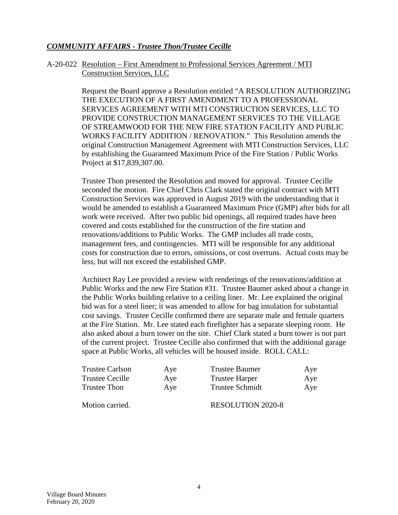## *COMMUNITY AFFAIRS - Trustee Thon/Trustee Cecille*

#### A-20-022 Resolution – First Amendment to Professional Services Agreement / MTI Construction Services, LLC

Request the Board approve a Resolution entitled "A RESOLUTION AUTHORIZING THE EXECUTION OF A FIRST AMENDMENT TO A PROFESSIONAL SERVICES AGREEMENT WITH MTI CONSTRUCTION SERVICES, LLC TO PROVIDE CONSTRUCTION MANAGEMENT SERVICES TO THE VILLAGE OF STREAMWOOD FOR THE NEW FIRE STATION FACILITY AND PUBLIC WORKS FACILITY ADDITION / RENOVATION." This Resolution amends the original Construction Management Agreement with MTI Construction Services, LLC by establishing the Guaranteed Maximum Price of the Fire Station / Public Works Project at \$17,839,307.00.

Trustee Thon presented the Resolution and moved for approval. Trustee Cecille seconded the motion. Fire Chief Chris Clark stated the original contract with MTI Construction Services was approved in August 2019 with the understanding that it would be amended to establish a Guaranteed Maximum Price (GMP) after bids for all work were received. After two public bid openings, all required trades have been covered and costs established for the construction of the fire station and renovations/additions to Public Works. The GMP includes all trade costs, management fees, and contingencies. MTI will be responsible for any additional costs for construction due to errors, omissions, or cost overruns. Actual costs may be less, but will not exceed the established GMP.

Architect Ray Lee provided a review with renderings of the renovations/addition at Public Works and the new Fire Station #31. Trustee Baumer asked about a change in the Public Works building relative to a ceiling liner. Mr. Lee explained the original bid was for a steel liner; it was amended to allow for bag insulation for substantial cost savings. Trustee Cecille confirmed there are separate male and female quarters at the Fire Station. Mr. Lee stated each firefighter has a separate sleeping room. He also asked about a burn tower on the site. Chief Clark stated a burn tower is not part of the current project. Trustee Cecille also confirmed that with the additional garage space at Public Works, all vehicles will be housed inside. ROLL CALL:

| Trustee Carlson | Aye | Trustee Baumer         | Aye |
|-----------------|-----|------------------------|-----|
| Trustee Cecille | Aye | <b>Trustee Harper</b>  | Aye |
| Trustee Thon    | Aye | <b>Trustee Schmidt</b> | Aye |
|                 |     |                        |     |

Motion carried. RESOLUTION 2020-8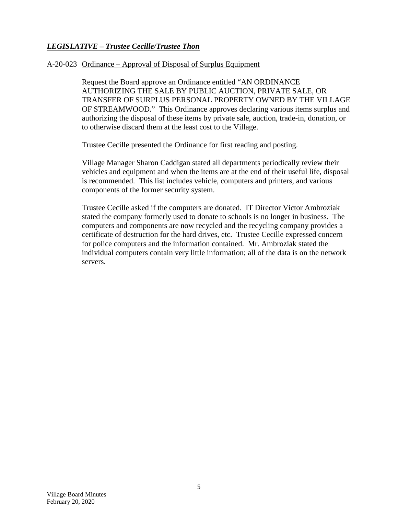# *LEGISLATIVE – Trustee Cecille/Trustee Thon*

### A-20-023 Ordinance – Approval of Disposal of Surplus Equipment

Request the Board approve an Ordinance entitled "AN ORDINANCE AUTHORIZING THE SALE BY PUBLIC AUCTION, PRIVATE SALE, OR TRANSFER OF SURPLUS PERSONAL PROPERTY OWNED BY THE VILLAGE OF STREAMWOOD." This Ordinance approves declaring various items surplus and authorizing the disposal of these items by private sale, auction, trade-in, donation, or to otherwise discard them at the least cost to the Village.

Trustee Cecille presented the Ordinance for first reading and posting.

Village Manager Sharon Caddigan stated all departments periodically review their vehicles and equipment and when the items are at the end of their useful life, disposal is recommended. This list includes vehicle, computers and printers, and various components of the former security system.

Trustee Cecille asked if the computers are donated. IT Director Victor Ambroziak stated the company formerly used to donate to schools is no longer in business. The computers and components are now recycled and the recycling company provides a certificate of destruction for the hard drives, etc. Trustee Cecille expressed concern for police computers and the information contained. Mr. Ambroziak stated the individual computers contain very little information; all of the data is on the network servers.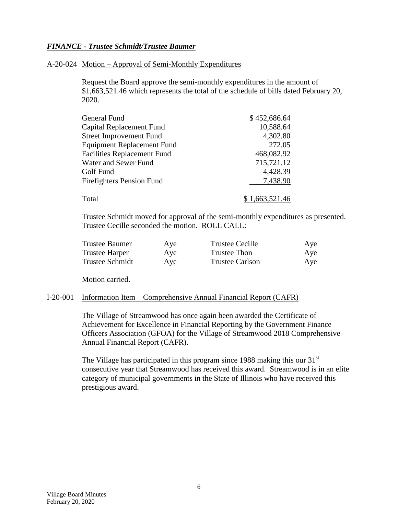### *FINANCE - Trustee Schmidt/Trustee Baumer*

#### A-20-024 Motion – Approval of Semi-Monthly Expenditures

Request the Board approve the semi-monthly expenditures in the amount of \$1,663,521.46 which represents the total of the schedule of bills dated February 20, 2020.

| <b>General Fund</b>                | \$452,686.64 |
|------------------------------------|--------------|
| Capital Replacement Fund           | 10,588.64    |
| <b>Street Improvement Fund</b>     | 4,302.80     |
| <b>Equipment Replacement Fund</b>  | 272.05       |
| <b>Facilities Replacement Fund</b> | 468,082.92   |
| Water and Sewer Fund               | 715,721.12   |
| Golf Fund                          | 4,428.39     |
| <b>Firefighters Pension Fund</b>   | 7,438.90     |
| Total                              | 1,663,521.46 |

Trustee Schmidt moved for approval of the semi-monthly expenditures as presented. Trustee Cecille seconded the motion. ROLL CALL:

| <b>Trustee Baumer</b>  | Aye | <b>Trustee Cecille</b> | Aye |
|------------------------|-----|------------------------|-----|
| Trustee Harper         | Aye | Trustee Thon           | Aye |
| <b>Trustee Schmidt</b> | Aye | <b>Trustee Carlson</b> | Aye |

Motion carried.

#### I-20-001 Information Item – Comprehensive Annual Financial Report (CAFR)

The Village of Streamwood has once again been awarded the Certificate of Achievement for Excellence in Financial Reporting by the Government Finance Officers Association (GFOA) for the Village of Streamwood 2018 Comprehensive Annual Financial Report (CAFR).

The Village has participated in this program since 1988 making this our  $31<sup>st</sup>$ consecutive year that Streamwood has received this award. Streamwood is in an elite category of municipal governments in the State of Illinois who have received this prestigious award.